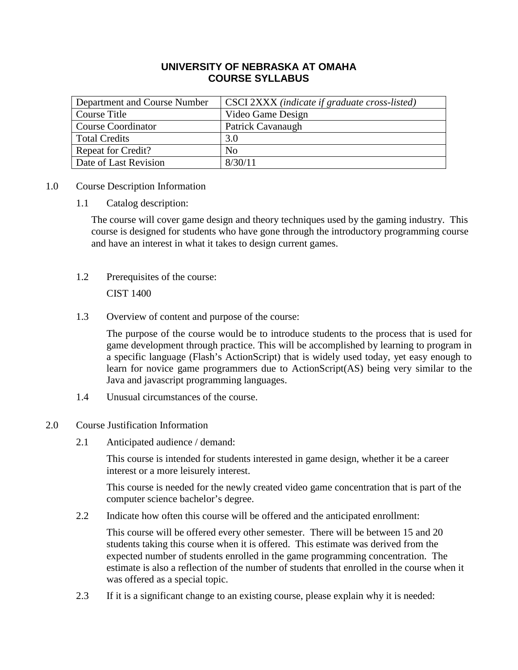# **UNIVERSITY OF NEBRASKA AT OMAHA COURSE SYLLABUS**

| Department and Course Number | CSCI 2XXX (indicate if graduate cross-listed) |
|------------------------------|-----------------------------------------------|
| Course Title                 | Video Game Design                             |
| <b>Course Coordinator</b>    | Patrick Cavanaugh                             |
| <b>Total Credits</b>         | 3.0                                           |
| <b>Repeat for Credit?</b>    | $\rm No$                                      |
| Date of Last Revision        | 8/30/11                                       |

- 1.0 Course Description Information
	- 1.1 Catalog description:

The course will cover game design and theory techniques used by the gaming industry. This course is designed for students who have gone through the introductory programming course and have an interest in what it takes to design current games.

- 1.2 Prerequisites of the course: CIST 1400
- 1.3 Overview of content and purpose of the course:

The purpose of the course would be to introduce students to the process that is used for game development through practice. This will be accomplished by learning to program in a specific language (Flash's ActionScript) that is widely used today, yet easy enough to learn for novice game programmers due to ActionScript(AS) being very similar to the Java and javascript programming languages.

- 1.4 Unusual circumstances of the course.
- 2.0 Course Justification Information
	- 2.1 Anticipated audience / demand:

This course is intended for students interested in game design, whether it be a career interest or a more leisurely interest.

This course is needed for the newly created video game concentration that is part of the computer science bachelor's degree.

2.2 Indicate how often this course will be offered and the anticipated enrollment:

This course will be offered every other semester. There will be between 15 and 20 students taking this course when it is offered. This estimate was derived from the expected number of students enrolled in the game programming concentration. The estimate is also a reflection of the number of students that enrolled in the course when it was offered as a special topic.

2.3 If it is a significant change to an existing course, please explain why it is needed: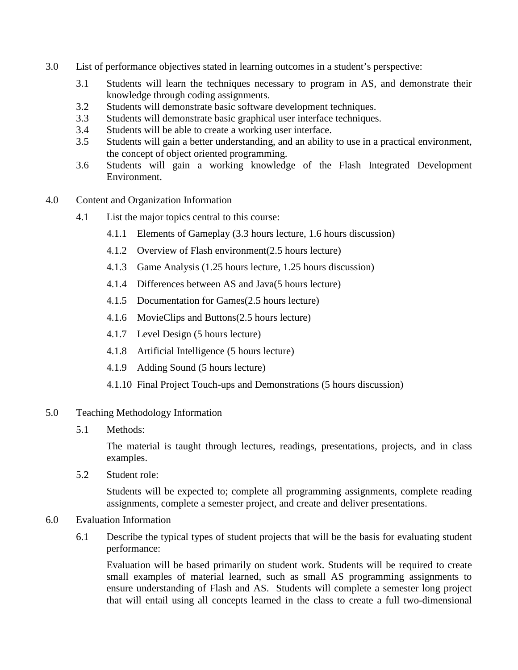- 3.0 List of performance objectives stated in learning outcomes in a student's perspective:
	- 3.1 Students will learn the techniques necessary to program in AS, and demonstrate their knowledge through coding assignments.
	- 3.2 Students will demonstrate basic software development techniques.
	- 3.3 Students will demonstrate basic graphical user interface techniques.
	- 3.4 Students will be able to create a working user interface.
	- 3.5 Students will gain a better understanding, and an ability to use in a practical environment, the concept of object oriented programming.
	- 3.6 Students will gain a working knowledge of the Flash Integrated Development Environment.
- 4.0 Content and Organization Information
	- 4.1 List the major topics central to this course:
		- 4.1.1 Elements of Gameplay (3.3 hours lecture, 1.6 hours discussion)
		- 4.1.2 Overview of Flash environment(2.5 hours lecture)
		- 4.1.3 Game Analysis (1.25 hours lecture, 1.25 hours discussion)
		- 4.1.4 Differences between AS and Java(5 hours lecture)
		- 4.1.5 Documentation for Games(2.5 hours lecture)
		- 4.1.6 MovieClips and Buttons(2.5 hours lecture)
		- 4.1.7 Level Design (5 hours lecture)
		- 4.1.8 Artificial Intelligence (5 hours lecture)
		- 4.1.9 Adding Sound (5 hours lecture)
		- 4.1.10 Final Project Touch-ups and Demonstrations (5 hours discussion)
- 5.0 Teaching Methodology Information
	- 5.1 Methods:

The material is taught through lectures, readings, presentations, projects, and in class examples.

5.2 Student role:

Students will be expected to; complete all programming assignments, complete reading assignments, complete a semester project, and create and deliver presentations.

- 6.0 Evaluation Information
	- 6.1 Describe the typical types of student projects that will be the basis for evaluating student performance:

Evaluation will be based primarily on student work. Students will be required to create small examples of material learned, such as small AS programming assignments to ensure understanding of Flash and AS. Students will complete a semester long project that will entail using all concepts learned in the class to create a full two-dimensional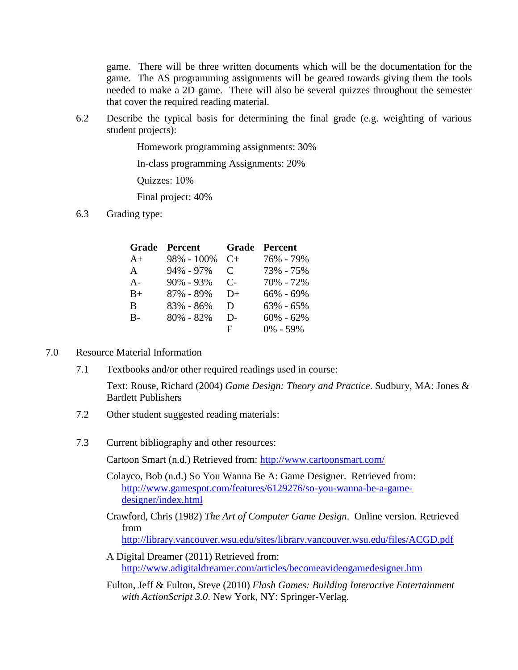game. There will be three written documents which will be the documentation for the game. The AS programming assignments will be geared towards giving them the tools needed to make a 2D game. There will also be several quizzes throughout the semester that cover the required reading material.

6.2 Describe the typical basis for determining the final grade (e.g. weighting of various student projects):

Homework programming assignments: 30%

In-class programming Assignments: 20%

Quizzes: 10%

Final project: 40%

6.3 Grading type:

| Grade | Percent       |           | <b>Grade Percent</b> |
|-------|---------------|-----------|----------------------|
| $A+$  | 98% - 100%    | $C_{+}$   | 76% - 79%            |
| A     | 94% - 97%     | C         | 73% - 75%            |
| $A -$ | $90\% - 93\%$ | $C_{\Xi}$ | 70% - 72%            |
| $B+$  | 87% - 89%     | $D+$      | $66\% - 69\%$        |
| B     | 83% - 86%     | D         | $63\% - 65\%$        |
| $B -$ | 80% - 82%     | D-        | $60\% - 62\%$        |
|       |               | F         | $0\% - 59\%$         |

#### 7.0 Resource Material Information

7.1 Textbooks and/or other required readings used in course:

Text: Rouse, Richard (2004) *Game Design: Theory and Practice*. Sudbury, MA: Jones & Bartlett Publishers

- 7.2 Other student suggested reading materials:
- 7.3 Current bibliography and other resources:

Cartoon Smart (n.d.) Retrieved from:<http://www.cartoonsmart.com/>

- Colayco, Bob (n.d.) So You Wanna Be A: Game Designer. Retrieved from: [http://www.gamespot.com/features/6129276/so-you-wanna-be-a-game](http://www.gamespot.com/features/6129276/so-you-wanna-be-a-game-designer/index.html)[designer/index.html](http://www.gamespot.com/features/6129276/so-you-wanna-be-a-game-designer/index.html)
- Crawford, Chris (1982) *The Art of Computer Game Design*. Online version. Retrieved from <http://library.vancouver.wsu.edu/sites/library.vancouver.wsu.edu/files/ACGD.pdf>
- A Digital Dreamer (2011) Retrieved from: <http://www.adigitaldreamer.com/articles/becomeavideogamedesigner.htm>
- Fulton, Jeff & Fulton, Steve (2010) *Flash Games: Building Interactive Entertainment with ActionScript 3.0*. New York, NY: Springer-Verlag.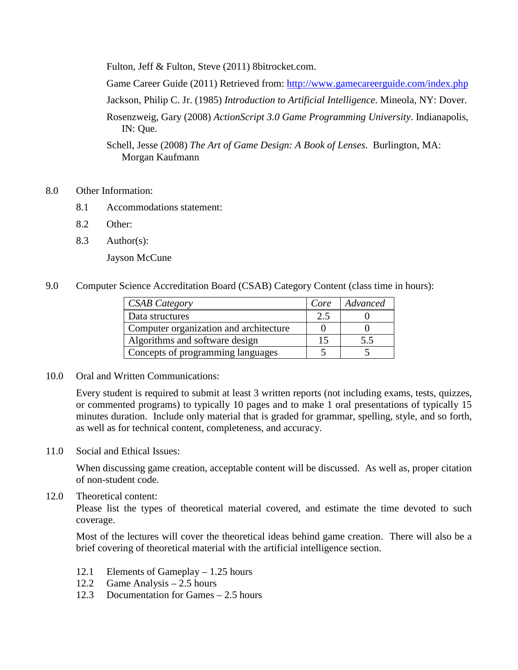Fulton, Jeff & Fulton, Steve (2011) 8bitrocket.com.

Game Career Guide (2011) Retrieved from:<http://www.gamecareerguide.com/index.php>

Jackson, Philip C. Jr. (1985) *Introduction to Artificial Intelligence*. Mineola, NY: Dover.

Rosenzweig, Gary (2008) *ActionScript 3.0 Game Programming University*. Indianapolis, IN: Que.

Schell, Jesse (2008) *The Art of Game Design: A Book of Lenses*. Burlington, MA: Morgan Kaufmann

- 8.0 Other Information:
	- 8.1 Accommodations statement:
	- 8.2 Other:
	- 8.3 Author(s):

Jayson McCune

9.0 Computer Science Accreditation Board (CSAB) Category Content (class time in hours):

| <b>CSAB</b> Category                   | Core | Advanced |
|----------------------------------------|------|----------|
| Data structures                        | 2.5  |          |
| Computer organization and architecture |      |          |
| Algorithms and software design         | 15   | 5.5      |
| Concepts of programming languages      |      |          |

10.0 Oral and Written Communications:

Every student is required to submit at least 3 written reports (not including exams, tests, quizzes, or commented programs) to typically 10 pages and to make 1 oral presentations of typically 15 minutes duration. Include only material that is graded for grammar, spelling, style, and so forth, as well as for technical content, completeness, and accuracy.

11.0 Social and Ethical Issues:

When discussing game creation, acceptable content will be discussed. As well as, proper citation of non-student code.

12.0 Theoretical content:

Please list the types of theoretical material covered, and estimate the time devoted to such coverage.

Most of the lectures will cover the theoretical ideas behind game creation. There will also be a brief covering of theoretical material with the artificial intelligence section.

- 12.1 Elements of Gameplay 1.25 hours
- 12.2 Game Analysis 2.5 hours
- 12.3 Documentation for Games 2.5 hours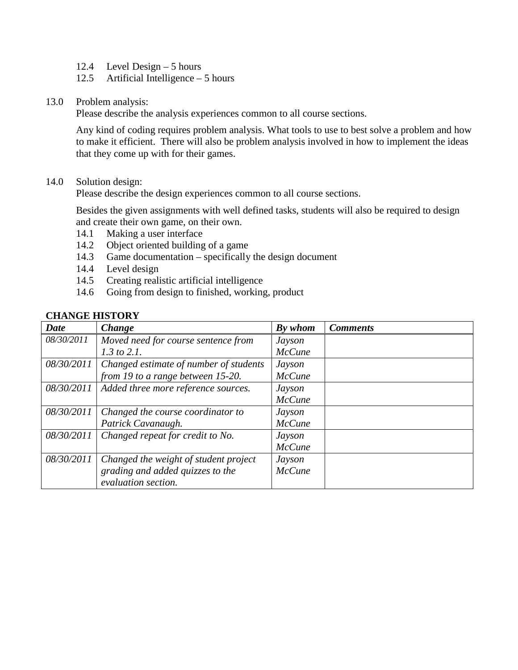- 12.4 Level Design 5 hours
- 12.5 Artificial Intelligence 5 hours
- 13.0 Problem analysis:

Please describe the analysis experiences common to all course sections.

Any kind of coding requires problem analysis. What tools to use to best solve a problem and how to make it efficient. There will also be problem analysis involved in how to implement the ideas that they come up with for their games.

14.0 Solution design:

Please describe the design experiences common to all course sections.

Besides the given assignments with well defined tasks, students will also be required to design and create their own game, on their own.

- 14.1 Making a user interface
- 14.2 Object oriented building of a game
- 14.3 Game documentation specifically the design document
- 14.4 Level design
- 14.5 Creating realistic artificial intelligence
- 14.6 Going from design to finished, working, product

| <b>Date</b> | <b>Change</b>                          | By whom       | <b>Comments</b> |
|-------------|----------------------------------------|---------------|-----------------|
| 08/30/2011  | Moved need for course sentence from    | Jayson        |                 |
|             | $1.3$ to $2.1$ .                       | <b>McCune</b> |                 |
| 08/30/2011  | Changed estimate of number of students | Jayson        |                 |
|             | from 19 to a range between 15-20.      | <b>McCune</b> |                 |
| 08/30/2011  | Added three more reference sources.    | Jayson        |                 |
|             |                                        | <b>McCune</b> |                 |
| 08/30/2011  | Changed the course coordinator to      | Jayson        |                 |
|             | Patrick Cavanaugh.                     | McCune        |                 |
| 08/30/2011  | Changed repeat for credit to No.       | <b>Jayson</b> |                 |
|             |                                        | <b>McCune</b> |                 |
| 08/30/2011  | Changed the weight of student project  | Jayson        |                 |
|             | grading and added quizzes to the       | McCune        |                 |
|             | evaluation section.                    |               |                 |

### **CHANGE HISTORY**